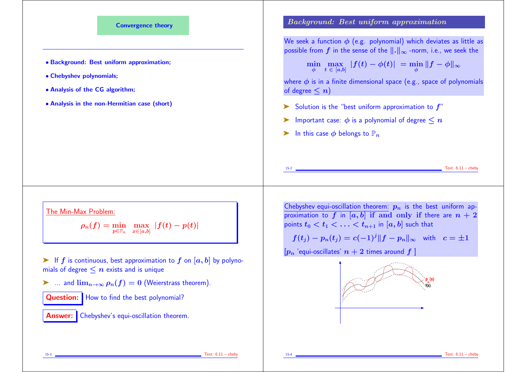

- $\blacktriangleright$  If f is continuous, best approximation to f on [a, b] by polynomials of degree  $\leq n$  exists and is unique
- $\triangleright$  ... and  $\lim_{n\to\infty}\rho_n(f)=0$  (Weierstrass theorem).

Question: | How to find the best polynomial?

Answer: Chebyshev's equi-oscillation theorem.

$$
f(t_j) - p_n(t_j) = c(-1)^j ||f - p_n||_{\infty}
$$
 with  $c = \pm 1$ 

 $[p_n]$  'equi-oscillates'  $n + 2$  times around f 1

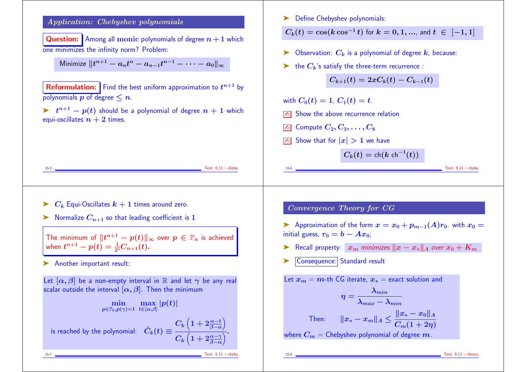